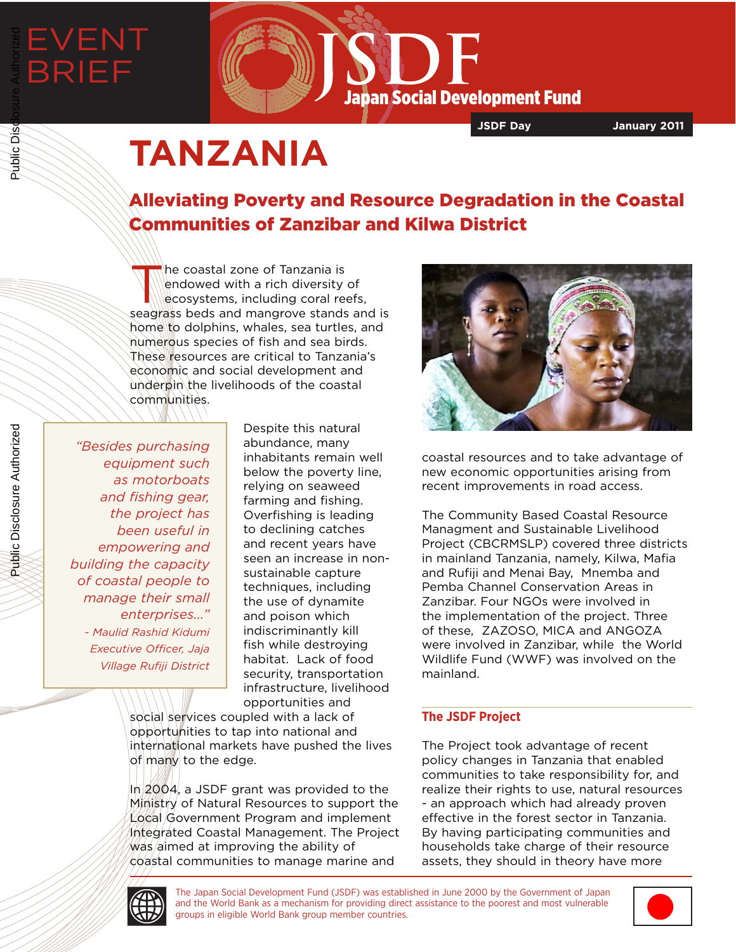# EVENT BRIEF Public Disclosure Authorized



**JSDF Day January 2011**

## **TANZANIA**

### Alleviating Poverty and Resource Degradation in the Coastal Communities of Zanzibar and Kilwa District

The coastal zone of Tanzania is<br>
endowed with a rich diversity<br>
ecosystems, including coral responses endowed with a rich diversity of ecosystems, including coral reefs, seagrass beds and mangrove stands and is home to dolphins, whales, sea turtles, and numerous species of fish and sea birds. These resources are critical to Tanzania's economic and social development and underpin the livelihoods of the coastal communities.

*"Besides purchasing equipment such as motorboats and fishing gear, the project has been useful in empowering and building the capacity of coastal people to manage their small enterprises..." - Maulid Rashid Kidumi Executive Officer, Jaja Village Rufiji District*

Despite this natural abundance, many inhabitants remain well below the poverty line, relying on seaweed farming and fishing. Overfishing is leading to declining catches and recent years have seen an increase in nonsustainable capture techniques, including the use of dynamite and poison which indiscriminantly kill fish while destroying habitat. Lack of food security, transportation infrastructure, livelihood opportunities and

social services coupled with a lack of opportunities to tap into national and international markets have pushed the lives of many to the edge.

In 2004, a JSDF grant was provided to the Ministry of Natural Resources to support the Local Government Program and implement Integrated Coastal Management. The Project  $\mathsf{W}\text{as}/\mathsf{a}$ imed at improving the ability of coastal communities to manage marine and



coastal resources and to take advantage of new economic opportunities arising from recent improvements in road access.

The Community Based Coastal Resource Managment and Sustainable Livelihood Project (CBCRMSLP) covered three districts in mainland Tanzania, namely, Kilwa, Mafia and Rufiji and Menai Bay, Mnemba and Pemba Channel Conservation Areas in Zanzibar. Four NGOs were involved in the implementation of the project. Three of these, ZAZOSO, MICA and ANGOZA were involved in Zanzibar, while the World Wildlife Fund (WWF) was involved on the mainland.

#### **The JSDF Project**

The Project took advantage of recent policy changes in Tanzania that enabled communities to take responsibility for, and realize their rights to use, natural resources - an approach which had already proven effective in the forest sector in Tanzania. By having participating communities and households take charge of their resource assets, they should in theory have more



The Japan Social Development Fund (JSDF) was established in June 2000 by the Government of Japan and the World Bank as a mechanism for providing direct assistance to the poorest and most vulnerable groups in eligible World Bank group member countries.



Public Disclosure Authorized

Public Disclosure Authorized

Public Disc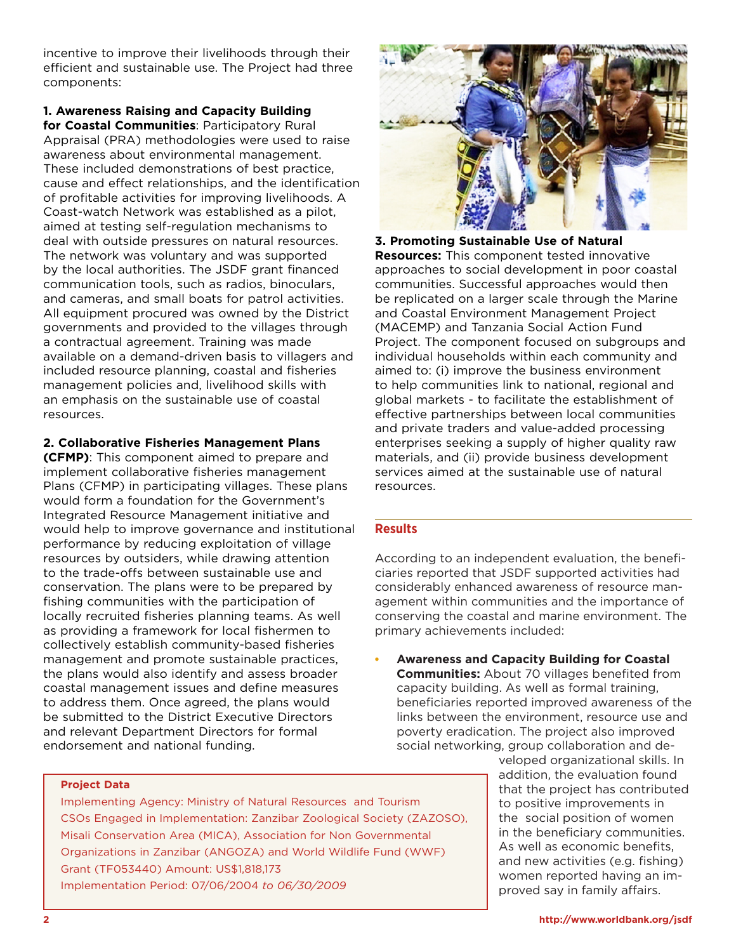incentive to improve their livelihoods through their efficient and sustainable use. The Project had three components:

**1. Awareness Raising and Capacity Building for Coastal Communities**: Participatory Rural Appraisal (PRA) methodologies were used to raise awareness about environmental management. These included demonstrations of best practice, cause and effect relationships, and the identification of profitable activities for improving livelihoods. A Coast-watch Network was established as a pilot, aimed at testing self-regulation mechanisms to deal with outside pressures on natural resources. The network was voluntary and was supported by the local authorities. The JSDF grant financed communication tools, such as radios, binoculars, and cameras, and small boats for patrol activities. All equipment procured was owned by the District governments and provided to the villages through a contractual agreement. Training was made available on a demand-driven basis to villagers and included resource planning, coastal and fisheries management policies and, livelihood skills with an emphasis on the sustainable use of coastal resources.

#### **2. Collaborative Fisheries Management Plans**

**(CFMP)**: This component aimed to prepare and implement collaborative fisheries management Plans (CFMP) in participating villages. These plans would form a foundation for the Government's Integrated Resource Management initiative and would help to improve governance and institutional performance by reducing exploitation of village resources by outsiders, while drawing attention to the trade-offs between sustainable use and conservation. The plans were to be prepared by fishing communities with the participation of locally recruited fisheries planning teams. As well as providing a framework for local fishermen to collectively establish community-based fisheries management and promote sustainable practices, the plans would also identify and assess broader coastal management issues and define measures to address them. Once agreed, the plans would be submitted to the District Executive Directors and relevant Department Directors for formal endorsement and national funding.



**3. Promoting Sustainable Use of Natural Resources:** This component tested innovative approaches to social development in poor coastal communities. Successful approaches would then be replicated on a larger scale through the Marine and Coastal Environment Management Project (MACEMP) and Tanzania Social Action Fund Project. The component focused on subgroups and individual households within each community and aimed to: (i) improve the business environment to help communities link to national, regional and global markets - to facilitate the establishment of effective partnerships between local communities and private traders and value-added processing enterprises seeking a supply of higher quality raw materials, and (ii) provide business development services aimed at the sustainable use of natural resources.

#### **Results**

According to an independent evaluation, the beneficiaries reported that JSDF supported activities had considerably enhanced awareness of resource management within communities and the importance of conserving the coastal and marine environment. The primary achievements included:

• **Awareness and Capacity Building for Coastal Communities:** About 70 villages benefited from capacity building. As well as formal training, beneficiaries reported improved awareness of the links between the environment, resource use and poverty eradication. The project also improved social networking, group collaboration and de-

> veloped organizational skills. In addition, the evaluation found that the project has contributed to positive improvements in the social position of women in the beneficiary communities. As well as economic benefits, and new activities (e.g. fishing) women reported having an improved say in family affairs.

#### **Project Data**

Implementing Agency: Ministry of Natural Resources and Tourism CSOs Engaged in Implementation: Zanzibar Zoological Society (ZAZOSO), Misali Conservation Area (MICA), Association for Non Governmental Organizations in Zanzibar (ANGOZA) and World Wildlife Fund (WWF) Grant (TF053440) Amount: US\$1,818,173 Implementation Period: 07/06/2004 *to 06/30/2009*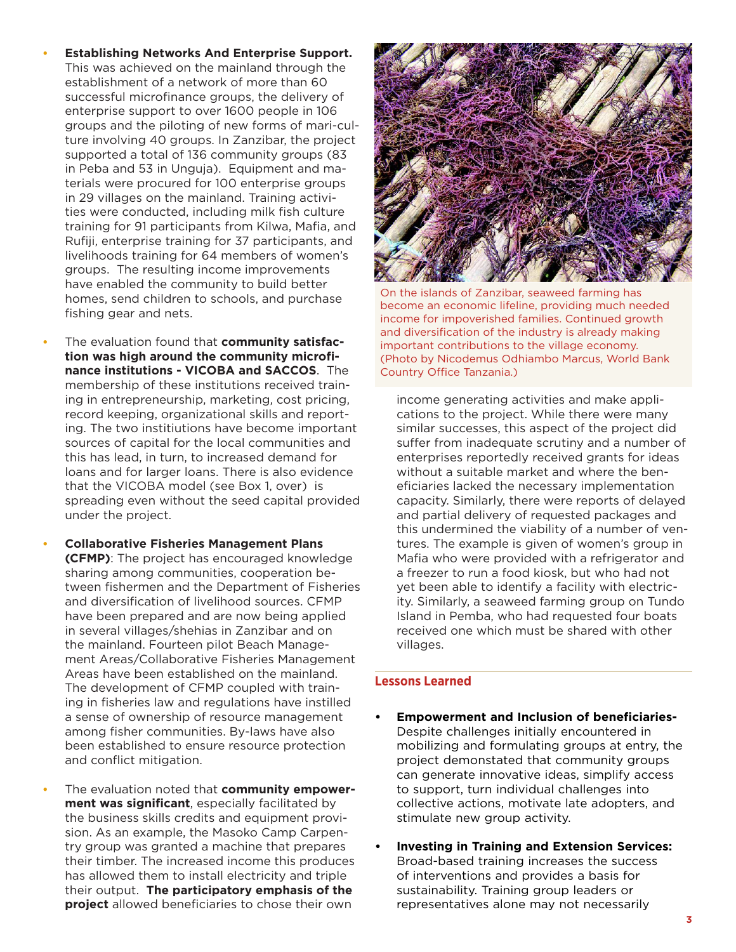- **Establishing Networks And Enterprise Support.**  This was achieved on the mainland through the establishment of a network of more than 60 successful microfinance groups, the delivery of enterprise support to over 1600 people in 106 groups and the piloting of new forms of mari-culture involving 40 groups. In Zanzibar, the project supported a total of 136 community groups (83 in Peba and 53 in Unguja). Equipment and materials were procured for 100 enterprise groups in 29 villages on the mainland. Training activities were conducted, including milk fish culture training for 91 participants from Kilwa, Mafia, and Rufiji, enterprise training for 37 participants, and livelihoods training for 64 members of women's groups. The resulting income improvements have enabled the community to build better homes, send children to schools, and purchase fishing gear and nets.
- The evaluation found that **community satisfaction was high around the community microfinance institutions - VICOBA and SACCOS**. The membership of these institutions received training in entrepreneurship, marketing, cost pricing, record keeping, organizational skills and reporting. The two institiutions have become important sources of capital for the local communities and this has lead, in turn, to increased demand for loans and for larger loans. There is also evidence that the VICOBA model (see Box 1, over) is spreading even without the seed capital provided under the project.
- **Collaborative Fisheries Management Plans (CFMP)**: The project has encouraged knowledge sharing among communities, cooperation between fishermen and the Department of Fisheries and diversification of livelihood sources. CFMP have been prepared and are now being applied in several villages/shehias in Zanzibar and on the mainland. Fourteen pilot Beach Management Areas/Collaborative Fisheries Management Areas have been established on the mainland. The development of CFMP coupled with training in fisheries law and regulations have instilled a sense of ownership of resource management among fisher communities. By-laws have also been established to ensure resource protection and conflict mitigation.
- The evaluation noted that **community empowerment was significant**, especially facilitated by the business skills credits and equipment provision. As an example, the Masoko Camp Carpentry group was granted a machine that prepares their timber. The increased income this produces has allowed them to install electricity and triple their output. **The participatory emphasis of the project** allowed beneficiaries to chose their own



On the islands of Zanzibar, seaweed farming has become an economic lifeline, providing much needed income for impoverished families. Continued growth and diversification of the industry is already making important contributions to the village economy. (Photo by Nicodemus Odhiambo Marcus, World Bank Country Office Tanzania.)

income generating activities and make applications to the project. While there were many similar successes, this aspect of the project did suffer from inadequate scrutiny and a number of enterprises reportedly received grants for ideas without a suitable market and where the beneficiaries lacked the necessary implementation capacity. Similarly, there were reports of delayed and partial delivery of requested packages and this undermined the viability of a number of ventures. The example is given of women's group in Mafia who were provided with a refrigerator and a freezer to run a food kiosk, but who had not yet been able to identify a facility with electricity. Similarly, a seaweed farming group on Tundo Island in Pemba, who had requested four boats received one which must be shared with other villages.

#### **Lessons Learned**

- **• Empowerment and Inclusion of beneficiaries-**Despite challenges initially encountered in mobilizing and formulating groups at entry, the project demonstated that community groups can generate innovative ideas, simplify access to support, turn individual challenges into collective actions, motivate late adopters, and stimulate new group activity.
- **• Investing in Training and Extension Services:** Broad-based training increases the success of interventions and provides a basis for sustainability. Training group leaders or representatives alone may not necessarily